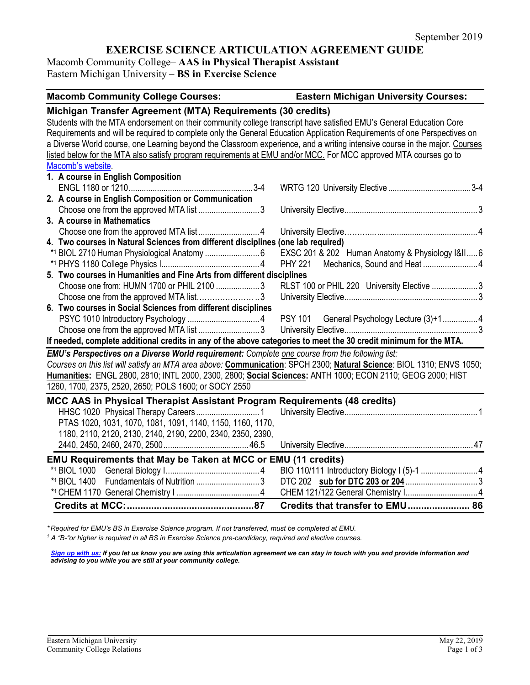# **EXERCISE SCIENCE ARTICULATION AGREEMENT GUIDE**

Macomb Community College– **AAS in Physical Therapist Assistant** Eastern Michigan University – **BS in Exercise Science**

| <b>Macomb Community College Courses:</b>                                                                                   | <b>Eastern Michigan University Courses:</b>      |
|----------------------------------------------------------------------------------------------------------------------------|--------------------------------------------------|
| Michigan Transfer Agreement (MTA) Requirements (30 credits)                                                                |                                                  |
| Students with the MTA endorsement on their community college transcript have satisfied EMU's General Education Core        |                                                  |
| Requirements and will be required to complete only the General Education Application Requirements of one Perspectives on   |                                                  |
| a Diverse World course, one Learning beyond the Classroom experience, and a writing intensive course in the major. Courses |                                                  |
| listed below for the MTA also satisfy program requirements at EMU and/or MCC. For MCC approved MTA courses go to           |                                                  |
| Macomb's website.                                                                                                          |                                                  |
| 1. A course in English Composition                                                                                         |                                                  |
|                                                                                                                            |                                                  |
| 2. A course in English Composition or Communication                                                                        |                                                  |
|                                                                                                                            |                                                  |
| 3. A course in Mathematics                                                                                                 |                                                  |
|                                                                                                                            |                                                  |
| 4. Two courses in Natural Sciences from different disciplines (one lab required)                                           |                                                  |
|                                                                                                                            | EXSC 201 & 202 Human Anatomy & Physiology I&II 6 |
|                                                                                                                            | <b>PHY 221</b>                                   |
| 5. Two courses in Humanities and Fine Arts from different disciplines                                                      |                                                  |
| Choose one from: HUMN 1700 or PHIL 2100 3                                                                                  | RLST 100 or PHIL 220 University Elective 3       |
| Choose one from the approved MTA list3                                                                                     |                                                  |
| 6. Two courses in Social Sciences from different disciplines                                                               |                                                  |
|                                                                                                                            | PSY 101 General Psychology Lecture (3)+14        |
| Choose one from the approved MTA list 3                                                                                    |                                                  |
| If needed, complete additional credits in any of the above categories to meet the 30 credit minimum for the MTA.           |                                                  |
| EMU's Perspectives on a Diverse World requirement: Complete one course from the following list:                            |                                                  |
| Courses on this list will satisfy an MTA area above: Communication: SPCH 2300; Natural Science: BIOL 1310; ENVS 1050;      |                                                  |
| Humanities: ENGL 2800, 2810; INTL 2000, 2300, 2800; Social Sciences: ANTH 1000; ECON 2110; GEOG 2000; HIST                 |                                                  |
| 1260, 1700, 2375, 2520, 2650; POLS 1600; or SOCY 2550                                                                      |                                                  |
| MCC AAS in Physical Therapist Assistant Program Requirements (48 credits)                                                  |                                                  |
|                                                                                                                            |                                                  |
| PTAS 1020, 1031, 1070, 1081, 1091, 1140, 1150, 1160, 1170,                                                                 |                                                  |
| 1180, 2110, 2120, 2130, 2140, 2190, 2200, 2340, 2350, 2390,                                                                |                                                  |
|                                                                                                                            |                                                  |
| <b>EMU Requirements that May be Taken at MCC or EMU (11 credits)</b>                                                       |                                                  |
|                                                                                                                            |                                                  |
| Fundamentals of Nutrition 3<br>*1 BIOL 1400                                                                                |                                                  |
|                                                                                                                            |                                                  |
|                                                                                                                            | Credits that transfer to EMU 86                  |

*\* Required for EMU's BS in Exercise Science program. If not transferred, must be completed at EMU.* 

*<sup>1</sup> A "B-"or higher is required in all BS in Exercise Science pre-candidacy, required and elective courses.*

*[Sign up with us:](https://www.emich.edu/ccr/articulation-agreements/signup.php) If you let us know you are using this articulation agreement we can stay in touch with you and provide information and advising to you while you are still at your community college.*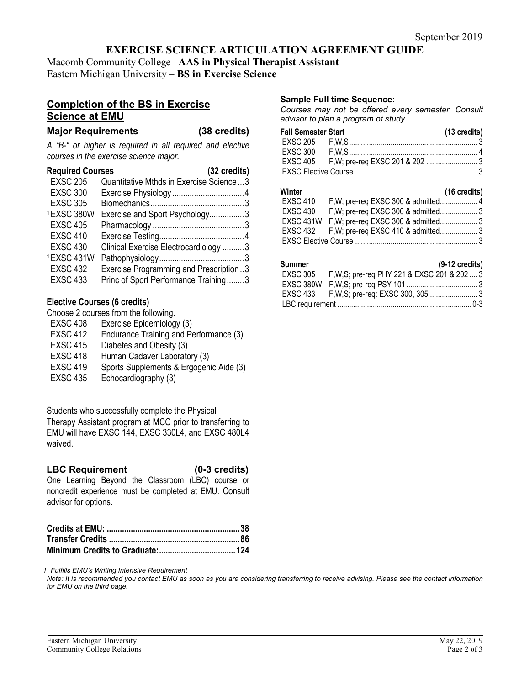# **EXERCISE SCIENCE ARTICULATION AGREEMENT GUIDE**

Macomb Community College– **AAS in Physical Therapist Assistant** Eastern Michigan University – **BS in Exercise Science**

# **Completion of the BS in Exercise Science at EMU**

### **Major Requirements (38 credits)**

*A "B-" or higher is required in all required and elective courses in the exercise science major.*

| <b>Required Courses</b> | (32 credits)                            |
|-------------------------|-----------------------------------------|
| <b>EXSC 205</b>         | Quantitative Mthds in Exercise Science3 |
| <b>EXSC 300</b>         |                                         |
| <b>EXSC 305</b>         |                                         |
| 1EXSC 380W              | Exercise and Sport Psychology3          |
| <b>EXSC 405</b>         |                                         |
| <b>EXSC 410</b>         |                                         |
| <b>EXSC 430</b>         | Clinical Exercise Electrocardiology 3   |
| 1EXSC 431W              |                                         |
| <b>EXSC 432</b>         | Exercise Programming and Prescription3  |
| <b>EXSC 433</b>         | Princ of Sport Performance Training3    |

# **Elective Courses (6 credits)**

Choose 2 courses from the following.

- EXSC 408 Exercise Epidemiology (3)
- EXSC 412 Endurance Training and Performance (3)
- EXSC 415 Diabetes and Obesity (3)
- EXSC 418 Human Cadaver Laboratory (3)
- EXSC 419 Sports Supplements & Ergogenic Aide (3)
- EXSC 435 Echocardiography (3)

Students who successfully complete the Physical Therapy Assistant program at MCC prior to transferring to EMU will have EXSC 144, EXSC 330L4, and EXSC 480L4 waived.

# **LBC Requirement (0-3 credits)**

One Learning Beyond the Classroom (LBC) course or noncredit experience must be completed at EMU. Consult advisor for options.

*1 Fulfills EMU's Writing Intensive Requirement*

*Note: It is recommended you contact EMU as soon as you are considering transferring to receive advising. Please see the contact information for EMU on the third page.*

#### **Sample Full time Sequence:**

*Courses may not be offered every semester. Consult advisor to plan a program of study.*

| <b>Fall Semester Start</b> | (13 credits) |
|----------------------------|--------------|
|                            |              |
|                            |              |
|                            |              |
|                            |              |

#### **Winter (16 credits)**

| ,,,,,,,,,       | $\sim$                                        |  |
|-----------------|-----------------------------------------------|--|
| EXSC 410        |                                               |  |
| <b>EXSC 430</b> |                                               |  |
|                 | EXSC 431W F, W; pre-req EXSC 300 & admitted 3 |  |
|                 | EXSC 432 F, W; pre-req EXSC 410 & admitted 3  |  |
|                 |                                               |  |

### **Summer (9-12 credits)**

| EXSC 305 F, W, S; pre-req PHY 221 & EXSC 201 & 202  3 |  |
|-------------------------------------------------------|--|
|                                                       |  |
|                                                       |  |
|                                                       |  |